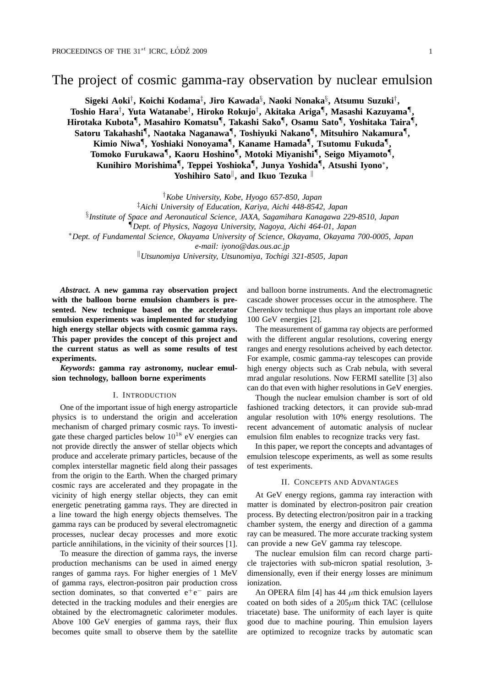# The project of cosmic gamma-ray observation by nuclear emulsion

**Sigeki Aoki***†* **, Koichi Kodama***‡* **, Jiro Kawada***§* **, Naoki Nonaka***§* **, Atsumu Suzuki***†* **, Toshio Hara***†* **, Yuta Watanabe***†* **, Hiroko Rokujo***†* **, Akitaka Ariga***¶* **, Masashi Kazuyama***¶* **, Hirotaka Kubota***¶* **, Masahiro Komatsu***¶* **, Takashi Sako***¶* **, Osamu Sato***¶* **, Yoshitaka Taira***¶* **, Satoru Takahashi***¶* **, Naotaka Naganawa***¶* **, Toshiyuki Nakano***¶* **, Mitsuhiro Nakamura***¶* **, Kimio Niwa***¶* **, Yoshiaki Nonoyama***¶* **, Kaname Hamada***¶* **, Tsutomu Fukuda***¶* **, Tomoko Furukawa***¶* **, Kaoru Hoshino***¶* **, Motoki Miyanishi***¶* **, Seigo Miyamoto***¶* **, Kunihiro Morishima***¶* **, Teppei Yoshioka***¶* **, Junya Yoshida***¶* **, Atsushi Iyono***∗* **, Yoshihiro Sato***∥* **, and Ikuo Tezuka** *∥*

*†Kobe University, Kobe, Hyogo 657-850, Japan ‡Aichi University of Education, Kariya, Aichi 448-8542, Japan § Institute of Space and Aeronautical Science, JAXA, Sagamihara Kanagawa 229-8510, Japan ¶Dept. of Physics, Nagoya University, Nagoya, Aichi 464-01, Japan ∗Dept. of Fundamental Science, Okayama University of Science, Okayama, Okayama 700-0005, Japan e-mail: iyono@das.ous.ac.jp*

*∥Utsunomiya University, Utsunomiya, Tochigi 321-8505, Japan*

*Abstract***. A new gamma ray observation project with the balloon borne emulsion chambers is presented. New technique based on the accelerator emulsion experiments was implemented for studying high energy stellar objects with cosmic gamma rays. This paper provides the concept of this project and the current status as well as some results of test experiments.**

*Keywords***: gamma ray astronomy, nuclear emulsion technology, balloon borne experiments**

#### I. INTRODUCTION

One of the important issue of high energy astroparticle physics is to understand the origin and acceleration mechanism of charged primary cosmic rays. To investigate these charged particles below  $10^{18}$  eV energies can not provide directly the answer of stellar objects which produce and accelerate primary particles, because of the complex interstellar magnetic field along their passages from the origin to the Earth. When the charged primary cosmic rays are accelerated and they propagate in the vicinity of high energy stellar objects, they can emit energetic penetrating gamma rays. They are directed in a line toward the high energy objects themselves. The gamma rays can be produced by several electromagnetic processes, nuclear decay processes and more exotic particle annihilations, in the vicinity of their sources [1].

To measure the direction of gamma rays, the inverse production mechanisms can be used in aimed energy ranges of gamma rays. For higher energies of 1 MeV of gamma rays, electron-positron pair production cross section dominates, so that converted e<sup>+</sup>e<sup>−</sup> pairs are detected in the tracking modules and their energies are obtained by the electromagnetic calorimeter modules. Above 100 GeV energies of gamma rays, their flux becomes quite small to observe them by the satellite and balloon borne instruments. And the electromagnetic cascade shower processes occur in the atmosphere. The Cherenkov technique thus plays an important role above 100 GeV energies [2].

The measurement of gamma ray objects are performed with the different angular resolutions, covering energy ranges and energy resolutions acheived by each detector. For example, cosmic gamma-ray telescopes can provide high energy objects such as Crab nebula, with several mrad angular resolutions. Now FERMI satellite [3] also can do that even with higher resolutions in GeV energies.

Though the nuclear emulsion chamber is sort of old fashioned tracking detectors, it can provide sub-mrad angular resolution with 10% energy resolutions. The recent advancement of automatic analysis of nuclear emulsion film enables to recognize tracks very fast.

In this paper, we report the concepts and advantages of emulsion telescope experiments, as well as some results of test experiments.

## II. CONCEPTS AND ADVANTAGES

At GeV energy regions, gamma ray interaction with matter is dominated by electron-positron pair creation process. By detecting electron/positron pair in a tracking chamber system, the energy and direction of a gamma ray can be measured. The more accurate tracking system can provide a new GeV gamma ray telescope.

The nuclear emulsion film can record charge particle trajectories with sub-micron spatial resolution, 3 dimensionally, even if their energy losses are minimum ionization.

An OPERA film [4] has 44 *µ*m thick emulsion layers coated on both sides of a 205*µ*m thick TAC (cellulose triacetate) base. The uniformity of each layer is quite good due to machine pouring. Thin emulsion layers are optimized to recognize tracks by automatic scan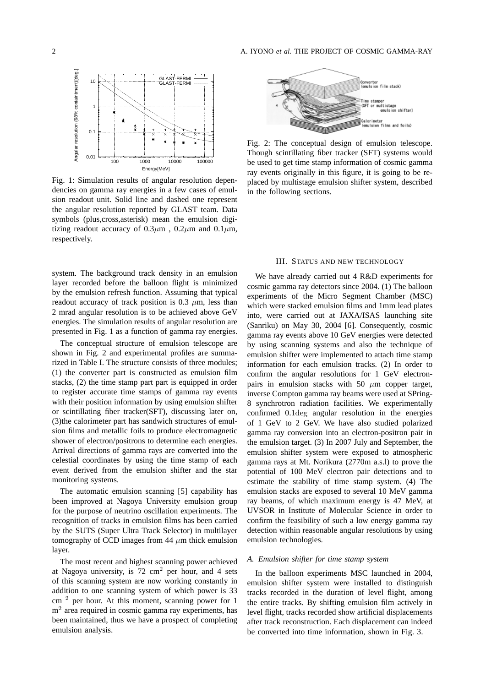

Fig. 1: Simulation results of angular resolution dependencies on gamma ray energies in a few cases of emulsion readout unit. Solid line and dashed one represent the angular resolution reported by GLAST team. Data symbols (plus,cross,asterisk) mean the emulsion digitizing readout accuracy of  $0.3\mu$ m,  $0.2\mu$ m and  $0.1\mu$ m, respectively.

system. The background track density in an emulsion layer recorded before the balloon flight is minimized by the emulsion refresh function. Assuming that typical readout accuracy of track position is 0.3 *µ*m, less than 2 mrad angular resolution is to be achieved above GeV energies. The simulation results of angular resolution are presented in Fig. 1 as a function of gamma ray energies.

The conceptual structure of emulsion telescope are shown in Fig. 2 and experimental profiles are summarized in Table I. The structure consists of three modules; (1) the converter part is constructed as emulsion film stacks, (2) the time stamp part part is equipped in order to register accurate time stamps of gamma ray events with their position information by using emulsion shifter or scintillating fiber tracker(SFT), discussing later on, (3)the calorimeter part has sandwich structures of emulsion films and metallic foils to produce electromagnetic shower of electron/positrons to determine each energies. Arrival directions of gamma rays are converted into the celestial coordinates by using the time stamp of each event derived from the emulsion shifter and the star monitoring systems.

The automatic emulsion scanning [5] capability has been improved at Nagoya University emulsion group for the purpose of neutrino oscillation experiments. The recognition of tracks in emulsion films has been carried by the SUTS (Super Ultra Track Selector) in multilayer tomography of CCD images from 44  $\mu$ m thick emulsion layer.

The most recent and highest scanning power achieved at Nagoya university, is  $72 \text{ cm}^2$  per hour, and 4 sets of this scanning system are now working constantly in addition to one scanning system of which power is 33  $cm<sup>2</sup>$  per hour. At this moment, scanning power for 1 m<sup>2</sup> area required in cosmic gamma ray experiments, has been maintained, thus we have a prospect of completing emulsion analysis.



Fig. 2: The conceptual design of emulsion telescope. Though scintillating fiber tracker (SFT) systems would be used to get time stamp information of cosmic gamma ray events originally in this figure, it is going to be replaced by multistage emulsion shifter system, described in the following sections.

#### III. STATUS AND NEW TECHNOLOGY

We have already carried out 4 R&D experiments for cosmic gamma ray detectors since 2004. (1) The balloon experiments of the Micro Segment Chamber (MSC) which were stacked emulsion films and 1mm lead plates into, were carried out at JAXA/ISAS launching site (Sanriku) on May 30, 2004 [6]. Consequently, cosmic gamma ray events above 10 GeV energies were detected by using scanning systems and also the technique of emulsion shifter were implemented to attach time stamp information for each emulsion tracks. (2) In order to confirm the angular resolutions for 1 GeV electronpairs in emulsion stacks with 50  $\mu$ m copper target, inverse Compton gamma ray beams were used at SPring-8 synchrotron radiation facilities. We experimentally confirmed 0.1deg angular resolution in the energies of 1 GeV to 2 GeV. We have also studied polarized gamma ray conversion into an electron-positron pair in the emulsion target. (3) In 2007 July and September, the emulsion shifter system were exposed to atmospheric gamma rays at Mt. Norikura (2770m a.s.l) to prove the potential of 100 MeV electron pair detections and to estimate the stability of time stamp system. (4) The emulsion stacks are exposed to several 10 MeV gamma ray beams, of which maximum energy is 47 MeV, at UVSOR in Institute of Molecular Science in order to confirm the feasibility of such a low energy gamma ray detection within reasonable angular resolutions by using emulsion technologies.

# *A. Emulsion shifter for time stamp system*

In the balloon experiments MSC launched in 2004, emulsion shifter system were installed to distinguish tracks recorded in the duration of level flight, among the entire tracks. By shifting emulsion film actively in level flight, tracks recorded show artificial displacements after track reconstruction. Each displacement can indeed be converted into time information, shown in Fig. 3.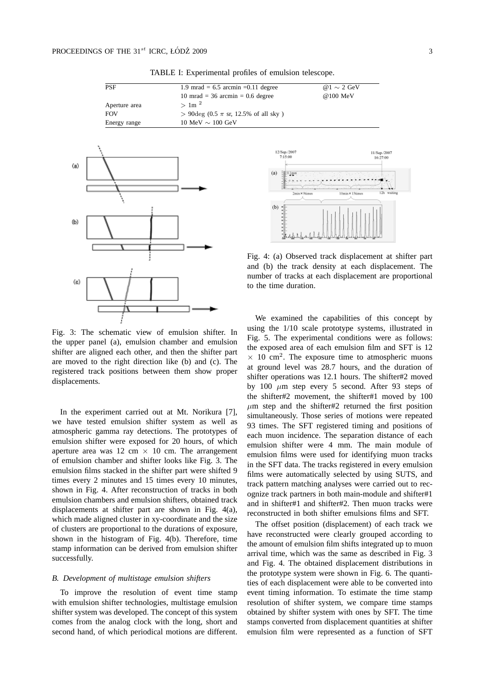| <b>PSF</b>    | 1.9 mrad = $6.5$ arcmin = 0.11 degree                       | @ 1 $\sim$ 2 GeV |
|---------------|-------------------------------------------------------------|------------------|
|               | $10 \text{ mrad} = 36 \text{ arcmin} = 0.6 \text{ degree}$  | @100 MeV         |
| Aperture area | $>1$ m <sup>2</sup>                                         |                  |
| <b>FOV</b>    | $> 90 \deg (0.5 \pi \text{ sr}, 12.5\% \text{ of all sky})$ |                  |
| Energy range  | 10 MeV $\sim$ 100 GeV                                       |                  |

TABLE I: Experimental profiles of emulsion telescope.



Fig. 3: The schematic view of emulsion shifter. In the upper panel (a), emulsion chamber and emulsion shifter are aligned each other, and then the shifter part are moved to the right direction like (b) and (c). The registered track positions between them show proper displacements.

In the experiment carried out at Mt. Norikura [7], we have tested emulsion shifter system as well as atmospheric gamma ray detections. The prototypes of emulsion shifter were exposed for 20 hours, of which aperture area was  $12 \text{ cm} \times 10 \text{ cm}$ . The arrangement of emulsion chamber and shifter looks like Fig. 3. The emulsion films stacked in the shifter part were shifted 9 times every 2 minutes and 15 times every 10 minutes, shown in Fig. 4. After reconstruction of tracks in both emulsion chambers and emulsion shifters, obtained track displacements at shifter part are shown in Fig. 4(a), which made aligned cluster in xy-coordinate and the size of clusters are proportional to the durations of exposure, shown in the histogram of Fig. 4(b). Therefore, time stamp information can be derived from emulsion shifter successfully.

## *B. Development of multistage emulsion shifters*

To improve the resolution of event time stamp with emulsion shifter technologies, multistage emulsion shifter system was developed. The concept of this system comes from the analog clock with the long, short and second hand, of which periodical motions are different.



Fig. 4: (a) Observed track displacement at shifter part and (b) the track density at each displacement. The number of tracks at each displacement are proportional to the time duration.

We examined the capabilities of this concept by using the 1/10 scale prototype systems, illustrated in Fig. 5. The experimental conditions were as follows: the exposed area of each emulsion film and SFT is 12  $\times$  10 cm<sup>2</sup>. The exposure time to atmospheric muons at ground level was 28.7 hours, and the duration of shifter operations was 12.1 hours. The shifter#2 moved by 100 *µ*m step every 5 second. After 93 steps of the shifter#2 movement, the shifter#1 moved by 100  $\mu$ m step and the shifter#2 returned the first position simultaneously. Those series of motions were repeated 93 times. The SFT registered timing and positions of each muon incidence. The separation distance of each emulsion shifter were 4 mm. The main module of emulsion films were used for identifying muon tracks in the SFT data. The tracks registered in every emulsion films were automatically selected by using SUTS, and track pattern matching analyses were carried out to recognize track partners in both main-module and shifter#1 and in shifter#1 and shifter#2. Then muon tracks were reconstructed in both shifter emulsions films and SFT.

The offset position (displacement) of each track we have reconstructed were clearly grouped according to the amount of emulsion film shifts integrated up to muon arrival time, which was the same as described in Fig. 3 and Fig. 4. The obtained displacement distributions in the prototype system were shown in Fig. 6. The quantities of each displacement were able to be converted into event timing information. To estimate the time stamp resolution of shifter system, we compare time stamps obtained by shifter system with ones by SFT. The time stamps converted from displacement quantities at shifter emulsion film were represented as a function of SFT